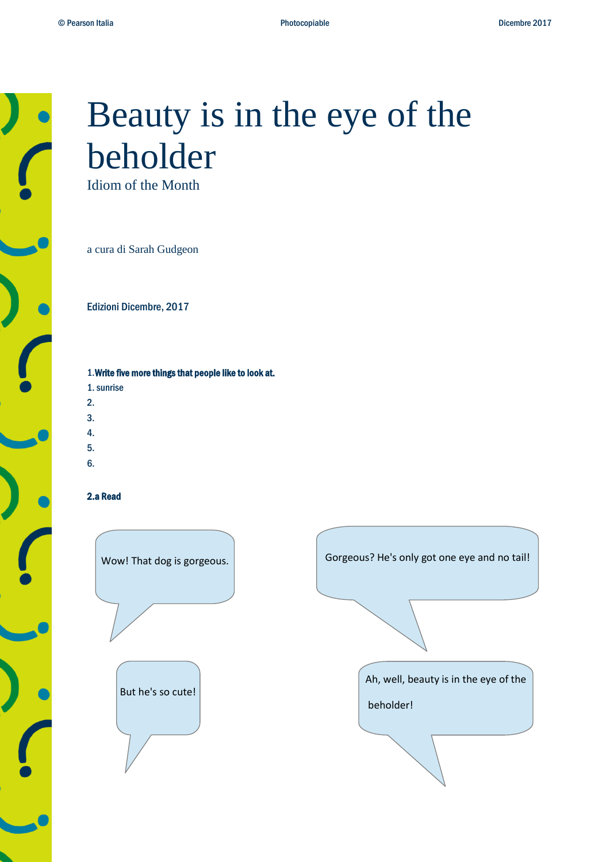

# Beauty is in the eye of the beholder

Idiom of the Month

a cura di Sarah Gudgeon

Edizioni Dicembre, 2017

1.Write five more things that people like to look at.

- 1.sunrise
- 2.
- 3.
- 4.
- 5.
- 
- 6.

### 2.a Read

But he's so cute!

Wow! That dog is gorgeous. Gorgeous? He's only got one eye and no tail! Ah, well, beauty is in the eye of the beholder!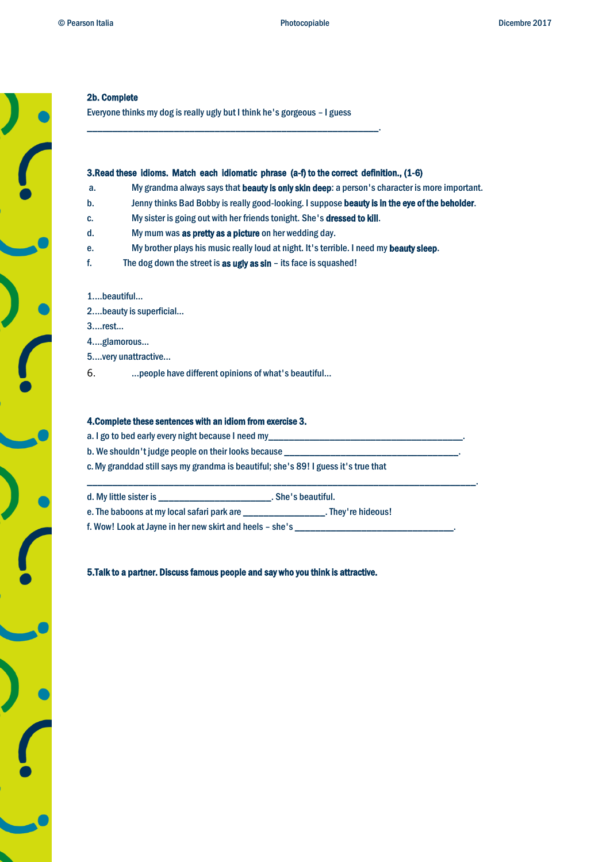## 2b. Complete

Everyone thinks my dog is really ugly but I think he's gorgeous – I guess

\_\_\_\_\_\_\_\_\_\_\_\_\_\_\_\_\_\_\_\_\_\_\_\_\_\_\_\_\_\_\_\_\_\_\_\_\_\_\_\_\_\_\_\_\_\_\_\_\_\_\_\_\_\_\_\_\_.

### 3.Read these idioms. Match each idiomatic phrase (a-f) to the correct definition., (1-6)

- a. My grandma always says that **beauty is only skin deep**: a person's character is more important.
- b. Jenny thinks Bad Bobby is really good-looking. I suppose beauty is in the eye of the beholder.
- c. My sister is going out with her friends tonight. She's dressed to kill.
- d. My mum was as pretty as a picture on her wedding day.
- e. My brother plays his music really loud at night. It's terrible. I need my beauty sleep.
- f. The dog down the street is as ugly as sin its face is squashed!

### 1....beautiful...

- 2....beauty is superficial...
- 3....rest...
- 4....glamorous...
- 5....very unattractive...
- 6. ...people have different opinions of what's beautiful...

### 4.Complete these sentences with an idiom from exercise 3.

- a. I go to bed early every night because I need my\_
- b. We shouldn't judge people on their looks because
- c.My granddad still says my grandma is beautiful; she's 89! I guess it's true that

| d. My little sister is                     | . She's beautiful. |
|--------------------------------------------|--------------------|
| e. The baboons at my local safari park are | . They're hideous! |

\_\_\_\_\_\_\_\_\_\_\_\_\_\_\_\_\_\_\_\_\_\_\_\_\_\_\_\_\_\_\_\_\_\_\_\_\_\_\_\_\_\_\_\_\_\_\_\_\_\_\_\_\_\_\_\_\_\_\_\_\_\_\_\_\_\_\_\_\_\_\_\_\_\_\_\_.

f. Wow! Look at Jayne in her new skirt and heels - she's \_\_

5.Talk to a partner. Discuss famous people and say who you think is attractive.